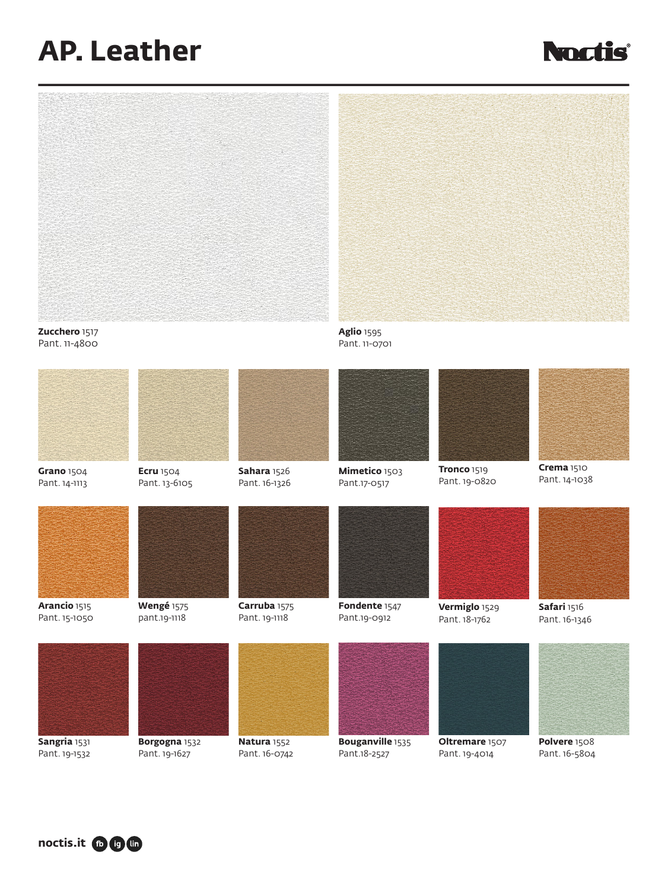## **AP. Leather**









**noctis.it <b>n n**